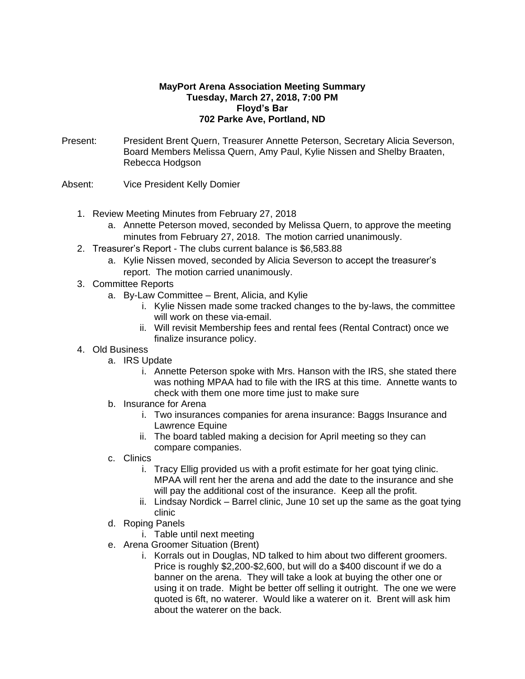## **MayPort Arena Association Meeting Summary Tuesday, March 27, 2018, 7:00 PM Floyd's Bar 702 Parke Ave, Portland, ND**

- Present: President Brent Quern, Treasurer Annette Peterson, Secretary Alicia Severson, Board Members Melissa Quern, Amy Paul, Kylie Nissen and Shelby Braaten, Rebecca Hodgson
- Absent: Vice President Kelly Domier
	- 1. Review Meeting Minutes from February 27, 2018
		- a. Annette Peterson moved, seconded by Melissa Quern, to approve the meeting minutes from February 27, 2018. The motion carried unanimously.
	- 2. Treasurer's Report The clubs current balance is \$6,583.88
		- a. Kylie Nissen moved, seconded by Alicia Severson to accept the treasurer's report. The motion carried unanimously.
	- 3. Committee Reports
		- a. By-Law Committee Brent, Alicia, and Kylie
			- i. Kylie Nissen made some tracked changes to the by-laws, the committee will work on these via-email.
			- ii. Will revisit Membership fees and rental fees (Rental Contract) once we finalize insurance policy.
	- 4. Old Business
		- a. IRS Update
			- i. Annette Peterson spoke with Mrs. Hanson with the IRS, she stated there was nothing MPAA had to file with the IRS at this time. Annette wants to check with them one more time just to make sure
		- b. Insurance for Arena
			- i. Two insurances companies for arena insurance: Baggs Insurance and Lawrence Equine
			- ii. The board tabled making a decision for April meeting so they can compare companies.
		- c. Clinics
			- i. Tracy Ellig provided us with a profit estimate for her goat tying clinic. MPAA will rent her the arena and add the date to the insurance and she will pay the additional cost of the insurance. Keep all the profit.
			- ii. Lindsay Nordick Barrel clinic, June 10 set up the same as the goat tying clinic
		- d. Roping Panels
			- i. Table until next meeting
		- e. Arena Groomer Situation (Brent)
			- i. Korrals out in Douglas, ND talked to him about two different groomers. Price is roughly \$2,200-\$2,600, but will do a \$400 discount if we do a banner on the arena. They will take a look at buying the other one or using it on trade. Might be better off selling it outright. The one we were quoted is 6ft, no waterer. Would like a waterer on it. Brent will ask him about the waterer on the back.